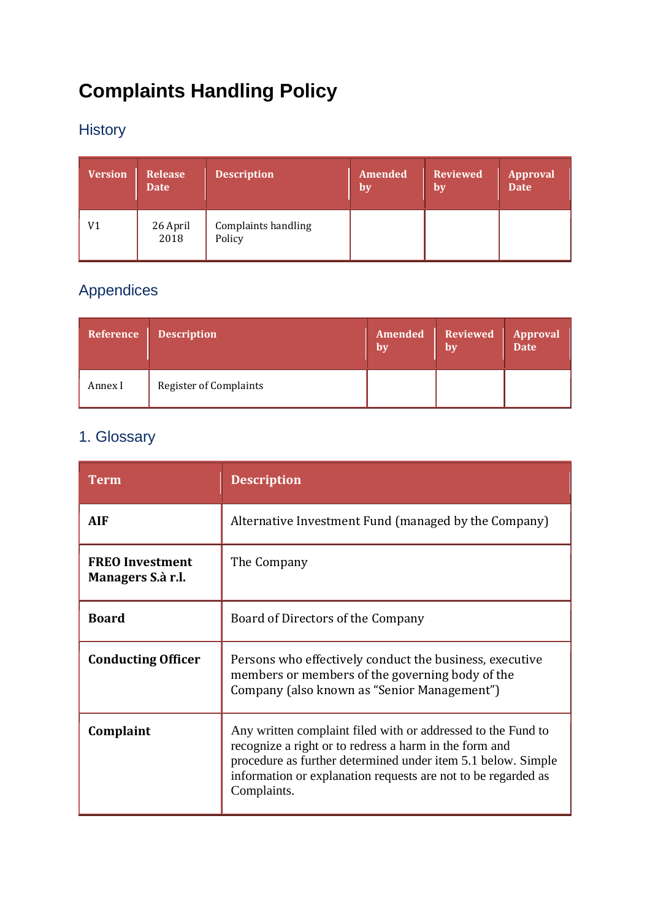# **Complaints Handling Policy**

## History

| <b>Version</b> | <b>Release</b><br><b>Date</b> | <b>Description</b>                   | <b>Amended</b><br><b>by</b> | <b>Reviewed</b><br>by | <b>Approval</b><br>Date 7 |
|----------------|-------------------------------|--------------------------------------|-----------------------------|-----------------------|---------------------------|
| V1             | 26 April<br>2018              | <b>Complaints handling</b><br>Policy |                             |                       |                           |

## Appendices

| Reference | <b>Description</b>            | Amended<br>bv | $\parallel$ Reviewed $\parallel$<br>by | <b>Approval</b><br>Date |
|-----------|-------------------------------|---------------|----------------------------------------|-------------------------|
| Annex I   | <b>Register of Complaints</b> |               |                                        |                         |

## 1. Glossary

| <b>Term</b>                                 | <b>Description</b>                                                                                                                                                                                                                                                     |  |  |
|---------------------------------------------|------------------------------------------------------------------------------------------------------------------------------------------------------------------------------------------------------------------------------------------------------------------------|--|--|
| <b>AIF</b>                                  | Alternative Investment Fund (managed by the Company)                                                                                                                                                                                                                   |  |  |
| <b>FREO Investment</b><br>Managers S.à r.l. | The Company                                                                                                                                                                                                                                                            |  |  |
| <b>Board</b>                                | Board of Directors of the Company                                                                                                                                                                                                                                      |  |  |
| <b>Conducting Officer</b>                   | Persons who effectively conduct the business, executive<br>members or members of the governing body of the<br>Company (also known as "Senior Management")                                                                                                              |  |  |
| Complaint                                   | Any written complaint filed with or addressed to the Fund to<br>recognize a right or to redress a harm in the form and<br>procedure as further determined under item 5.1 below. Simple<br>information or explanation requests are not to be regarded as<br>Complaints. |  |  |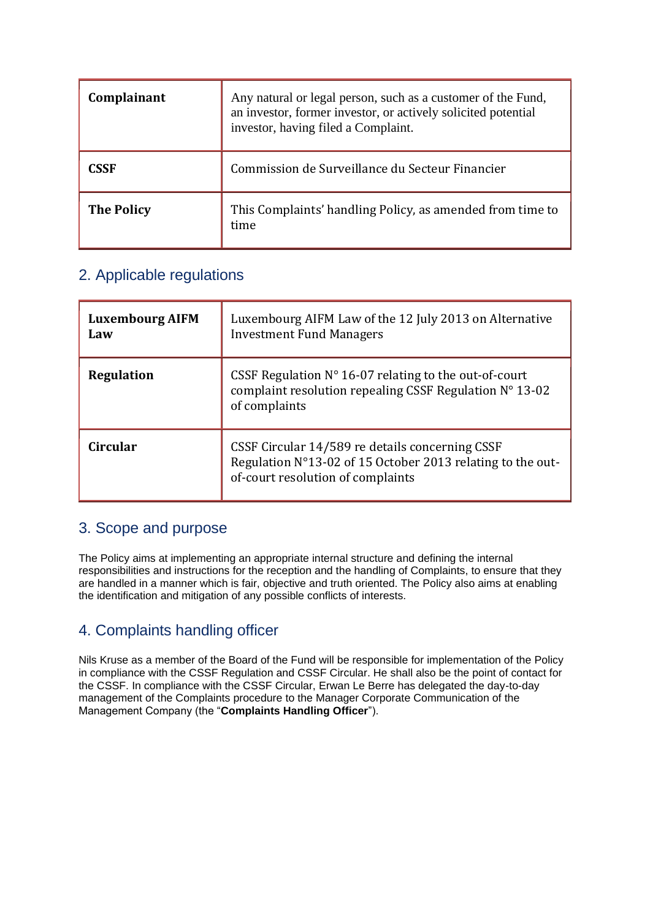| Complainant       | Any natural or legal person, such as a customer of the Fund,<br>an investor, former investor, or actively solicited potential<br>investor, having filed a Complaint. |  |  |
|-------------------|----------------------------------------------------------------------------------------------------------------------------------------------------------------------|--|--|
| CSSF              | Commission de Surveillance du Secteur Financier                                                                                                                      |  |  |
| <b>The Policy</b> | This Complaints' handling Policy, as amended from time to<br>time                                                                                                    |  |  |

### 2. Applicable regulations

| <b>Luxembourg AIFM</b><br>Law | Luxembourg AIFM Law of the 12 July 2013 on Alternative<br><b>Investment Fund Managers</b>                                                          |  |
|-------------------------------|----------------------------------------------------------------------------------------------------------------------------------------------------|--|
| <b>Regulation</b>             | CSSF Regulation $N^{\circ}$ 16-07 relating to the out-of-court<br>complaint resolution repealing CSSF Regulation N° 13-02<br>of complaints         |  |
| <b>Circular</b>               | CSSF Circular 14/589 re details concerning CSSF<br>Regulation N°13-02 of 15 October 2013 relating to the out-<br>of-court resolution of complaints |  |

### 3. Scope and purpose

The Policy aims at implementing an appropriate internal structure and defining the internal responsibilities and instructions for the reception and the handling of Complaints, to ensure that they are handled in a manner which is fair, objective and truth oriented. The Policy also aims at enabling the identification and mitigation of any possible conflicts of interests.

## 4. Complaints handling officer

Nils Kruse as a member of the Board of the Fund will be responsible for implementation of the Policy in compliance with the CSSF Regulation and CSSF Circular. He shall also be the point of contact for the CSSF. In compliance with the CSSF Circular, Erwan Le Berre has delegated the day-to-day management of the Complaints procedure to the Manager Corporate Communication of the Management Company (the "**Complaints Handling Officer**").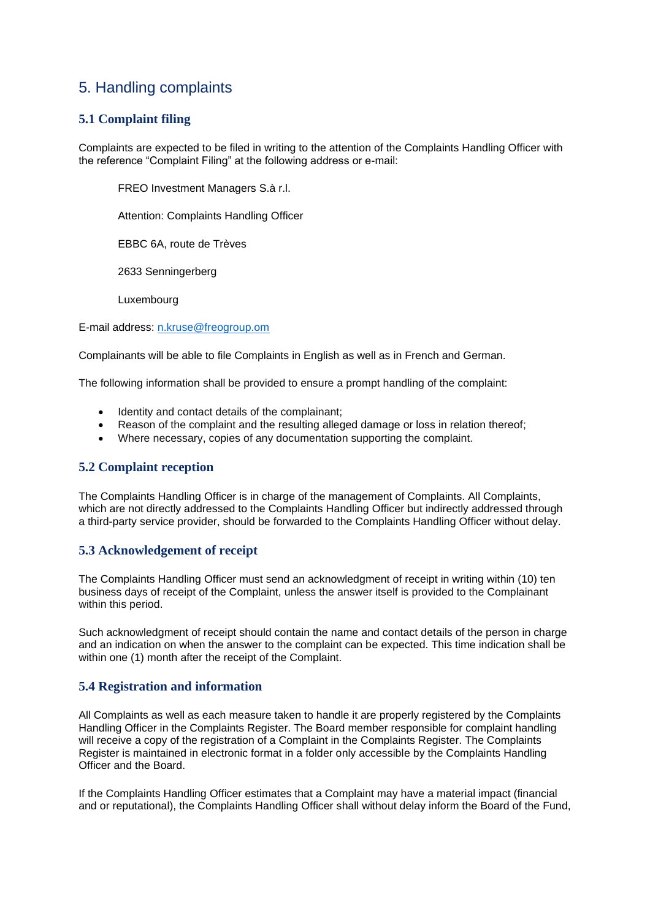### 5. Handling complaints

#### **5.1 Complaint filing**

Complaints are expected to be filed in writing to the attention of the Complaints Handling Officer with the reference "Complaint Filing" at the following address or e-mail:

FREO Investment Managers S.à r.l.

Attention: Complaints Handling Officer

EBBC 6A, route de Trèves

2633 Senningerberg

Luxembourg

E-mail address: [n.kruse@freogroup.om](mailto:n.kruse@freogroup.om)

Complainants will be able to file Complaints in English as well as in French and German.

The following information shall be provided to ensure a prompt handling of the complaint:

- Identity and contact details of the complainant;
- Reason of the complaint and the resulting alleged damage or loss in relation thereof;
- Where necessary, copies of any documentation supporting the complaint.

#### **5.2 Complaint reception**

The Complaints Handling Officer is in charge of the management of Complaints. All Complaints, which are not directly addressed to the Complaints Handling Officer but indirectly addressed through a third-party service provider, should be forwarded to the Complaints Handling Officer without delay.

#### **5.3 Acknowledgement of receipt**

The Complaints Handling Officer must send an acknowledgment of receipt in writing within (10) ten business days of receipt of the Complaint, unless the answer itself is provided to the Complainant within this period.

Such acknowledgment of receipt should contain the name and contact details of the person in charge and an indication on when the answer to the complaint can be expected. This time indication shall be within one (1) month after the receipt of the Complaint.

#### **5.4 Registration and information**

All Complaints as well as each measure taken to handle it are properly registered by the Complaints Handling Officer in the Complaints Register. The Board member responsible for complaint handling will receive a copy of the registration of a Complaint in the Complaints Register. The Complaints Register is maintained in electronic format in a folder only accessible by the Complaints Handling Officer and the Board.

If the Complaints Handling Officer estimates that a Complaint may have a material impact (financial and or reputational), the Complaints Handling Officer shall without delay inform the Board of the Fund,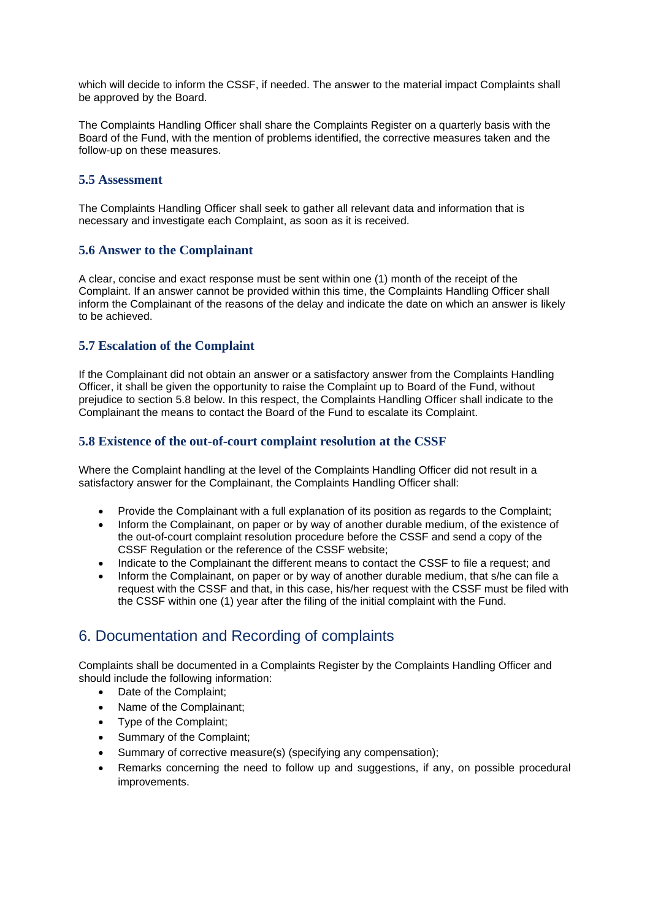which will decide to inform the CSSF, if needed. The answer to the material impact Complaints shall be approved by the Board.

The Complaints Handling Officer shall share the Complaints Register on a quarterly basis with the Board of the Fund, with the mention of problems identified, the corrective measures taken and the follow-up on these measures.

#### **5.5 Assessment**

The Complaints Handling Officer shall seek to gather all relevant data and information that is necessary and investigate each Complaint, as soon as it is received.

#### **5.6 Answer to the Complainant**

A clear, concise and exact response must be sent within one (1) month of the receipt of the Complaint. If an answer cannot be provided within this time, the Complaints Handling Officer shall inform the Complainant of the reasons of the delay and indicate the date on which an answer is likely to be achieved.

#### **5.7 Escalation of the Complaint**

If the Complainant did not obtain an answer or a satisfactory answer from the Complaints Handling Officer, it shall be given the opportunity to raise the Complaint up to Board of the Fund, without prejudice to section 5.8 below. In this respect, the Complaints Handling Officer shall indicate to the Complainant the means to contact the Board of the Fund to escalate its Complaint.

#### **5.8 Existence of the out-of-court complaint resolution at the CSSF**

Where the Complaint handling at the level of the Complaints Handling Officer did not result in a satisfactory answer for the Complainant, the Complaints Handling Officer shall:

- Provide the Complainant with a full explanation of its position as regards to the Complaint;
- Inform the Complainant, on paper or by way of another durable medium, of the existence of the out-of-court complaint resolution procedure before the CSSF and send a copy of the CSSF Regulation or the reference of the CSSF website;
- Indicate to the Complainant the different means to contact the CSSF to file a request; and
- Inform the Complainant, on paper or by way of another durable medium, that s/he can file a request with the CSSF and that, in this case, his/her request with the CSSF must be filed with the CSSF within one (1) year after the filing of the initial complaint with the Fund.

## 6. Documentation and Recording of complaints

Complaints shall be documented in a Complaints Register by the Complaints Handling Officer and should include the following information:

- Date of the Complaint;
- Name of the Complainant;
- Type of the Complaint;
- Summary of the Complaint;
- Summary of corrective measure(s) (specifying any compensation);
- Remarks concerning the need to follow up and suggestions, if any, on possible procedural improvements.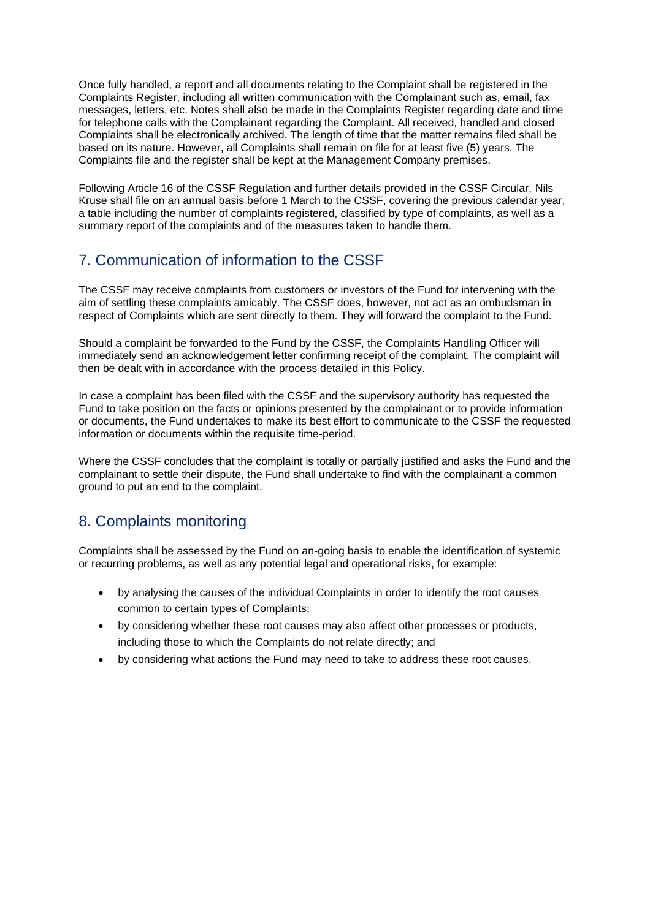Once fully handled, a report and all documents relating to the Complaint shall be registered in the Complaints Register, including all written communication with the Complainant such as, email, fax messages, letters, etc. Notes shall also be made in the Complaints Register regarding date and time for telephone calls with the Complainant regarding the Complaint. All received, handled and closed Complaints shall be electronically archived. The length of time that the matter remains filed shall be based on its nature. However, all Complaints shall remain on file for at least five (5) years. The Complaints file and the register shall be kept at the Management Company premises.

Following Article 16 of the CSSF Regulation and further details provided in the CSSF Circular, Nils Kruse shall file on an annual basis before 1 March to the CSSF, covering the previous calendar year, a table including the number of complaints registered, classified by type of complaints, as well as a summary report of the complaints and of the measures taken to handle them.

## 7. Communication of information to the CSSF

The CSSF may receive complaints from customers or investors of the Fund for intervening with the aim of settling these complaints amicably. The CSSF does, however, not act as an ombudsman in respect of Complaints which are sent directly to them. They will forward the complaint to the Fund.

Should a complaint be forwarded to the Fund by the CSSF, the Complaints Handling Officer will immediately send an acknowledgement letter confirming receipt of the complaint. The complaint will then be dealt with in accordance with the process detailed in this Policy.

In case a complaint has been filed with the CSSF and the supervisory authority has requested the Fund to take position on the facts or opinions presented by the complainant or to provide information or documents, the Fund undertakes to make its best effort to communicate to the CSSF the requested information or documents within the requisite time-period.

Where the CSSF concludes that the complaint is totally or partially justified and asks the Fund and the complainant to settle their dispute, the Fund shall undertake to find with the complainant a common ground to put an end to the complaint.

## 8. Complaints monitoring

Complaints shall be assessed by the Fund on an-going basis to enable the identification of systemic or recurring problems, as well as any potential legal and operational risks, for example:

- by analysing the causes of the individual Complaints in order to identify the root causes common to certain types of Complaints;
- by considering whether these root causes may also affect other processes or products, including those to which the Complaints do not relate directly; and
- by considering what actions the Fund may need to take to address these root causes.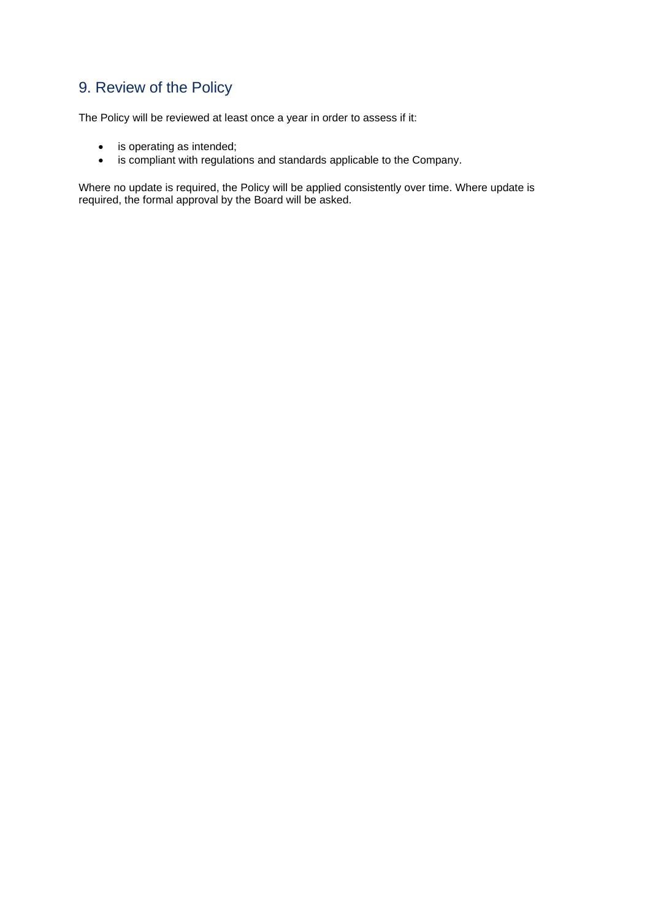## 9. Review of the Policy

The Policy will be reviewed at least once a year in order to assess if it:

- is operating as intended;
- is compliant with regulations and standards applicable to the Company.

Where no update is required, the Policy will be applied consistently over time. Where update is required, the formal approval by the Board will be asked.